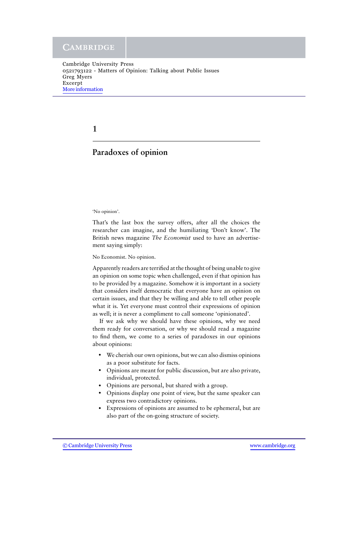Cambridge University Press 0521793122 - Matters of Opinion: Talking about Public Issues Greg Myers Excerpt [More information](http://www.cambridge.org/0521793122)

**1**

# **Paradoxes of opinion**

#### 'No opinion'.

That's the last box the survey offers, after all the choices the researcher can imagine, and the humiliating 'Don't know'. The British news magazine *The Economist* used to have an advertisement saying simply:

No Economist. No opinion.

Apparently readers are terrified at the thought of being unable to give an opinion on some topic when challenged, even if that opinion has to be provided by a magazine. Somehow it is important in a society that considers itself democratic that everyone have an opinion on certain issues, and that they be willing and able to tell other people what it is. Yet everyone must control their expressions of opinion as well; it is never a compliment to call someone 'opinionated'.

If we ask why we should have these opinions, why we need them ready for conversation, or why we should read a magazine to find them, we come to a series of paradoxes in our opinions about opinions:

- We cherish our own opinions, but we can also dismiss opinions as a poor substitute for facts.
- Opinions are meant for public discussion, but are also private, individual, protected.
- Opinions are personal, but shared with a group.
- Opinions display one point of view, but the same speaker can express two contradictory opinions.
- Expressions of opinions are assumed to be ephemeral, but are also part of the on-going structure of society.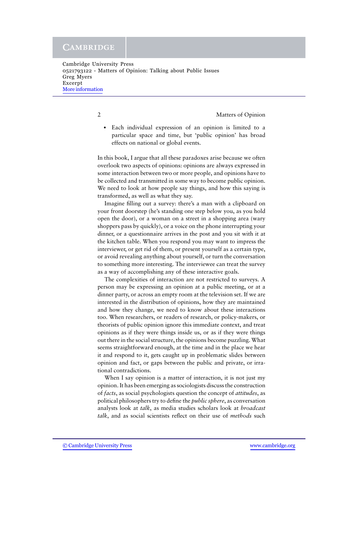2 Matters of Opinion

 Each individual expression of an opinion is limited to a particular space and time, but 'public opinion' has broad effects on national or global events.

In this book, I argue that all these paradoxes arise because we often overlook two aspects of opinions: opinions are always expressed in some interaction between two or more people, and opinions have to be collected and transmitted in some way to become public opinion. We need to look at how people say things, and how this saying is transformed, as well as what they say.

Imagine filling out a survey: there's a man with a clipboard on your front doorstep (he's standing one step below you, as you hold open the door), or a woman on a street in a shopping area (wary shoppers pass by quickly), or a voice on the phone interrupting your dinner, or a questionnaire arrives in the post and you sit with it at the kitchen table. When you respond you may want to impress the interviewer, or get rid of them, or present yourself as a certain type, or avoid revealing anything about yourself, or turn the conversation to something more interesting. The interviewee can treat the survey as a way of accomplishing any of these interactive goals.

The complexities of interaction are not restricted to surveys. A person may be expressing an opinion at a public meeting, or at a dinner party, or across an empty room at the television set. If we are interested in the distribution of opinions, how they are maintained and how they change, we need to know about these interactions too. When researchers, or readers of research, or policy-makers, or theorists of public opinion ignore this immediate context, and treat opinions as if they were things inside us, or as if they were things out there in the social structure, the opinions become puzzling. What seems straightforward enough, at the time and in the place we hear it and respond to it, gets caught up in problematic slides between opinion and fact, or gaps between the public and private, or irrational contradictions.

When I say opinion is a matter of interaction, it is not just my opinion. It has been emerging as sociologists discuss the construction of *facts*, as social psychologists question the concept of *attitudes*, as political philosophers try to define the *public sphere*, as conversation analysts look at *talk*, as media studies scholars look at *broadcast talk*, and as social scientists reflect on their use of *methods* such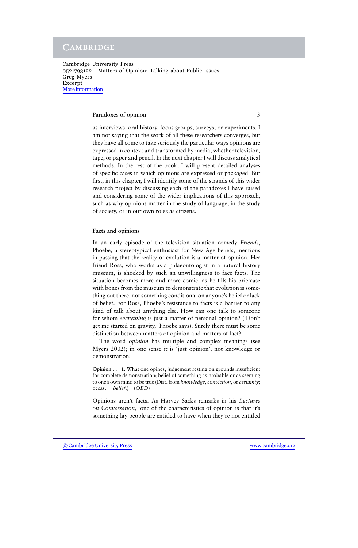Cambridge University Press 0521793122 - Matters of Opinion: Talking about Public Issues Greg Myers Excerpt [More information](http://www.cambridge.org/0521793122)

### Paradoxes of opinion 3

as interviews, oral history, focus groups, surveys, or experiments. I am not saying that the work of all these researchers converges, but they have all come to take seriously the particular ways opinions are expressed in context and transformed by media, whether television, tape, or paper and pencil. In the next chapter I will discuss analytical methods. In the rest of the book, I will present detailed analyses of specific cases in which opinions are expressed or packaged. But first, in this chapter, I will identify some of the strands of this wider research project by discussing each of the paradoxes I have raised and considering some of the wider implications of this approach, such as why opinions matter in the study of language, in the study of society, or in our own roles as citizens.

### **Facts and opinions**

In an early episode of the television situation comedy *Friends*, Phoebe, a stereotypical enthusiast for New Age beliefs, mentions in passing that the reality of evolution is a matter of opinion. Her friend Ross, who works as a palaeontologist in a natural history museum, is shocked by such an unwillingness to face facts. The situation becomes more and more comic, as he fills his briefcase with bones from the museum to demonstrate that evolution is something out there, not something conditional on anyone's belief or lack of belief. For Ross, Phoebe's resistance to facts is a barrier to any kind of talk about anything else. How can one talk to someone for whom *everything* is just a matter of personal opinion? ('Don't get me started on gravity,' Phoebe says). Surely there must be some distinction between matters of opinion and matters of fact?

The word *opinion* has multiple and complex meanings (see Myers 2002); in one sense it is 'just opinion', not knowledge or demonstration:

**Opinion** ... **1.** What one opines; judgement resting on grounds insufficient for complete demonstration; belief of something as probable or as seeming to one's own mind to be true (Dist. from *knowledge*, *conviction*, or *certainty*; occas. = *belief*.) (*OED*)

Opinions aren't facts. As Harvey Sacks remarks in his *Lectures on Conversation*, 'one of the characteristics of opinion is that it's something lay people are entitled to have when they're not entitled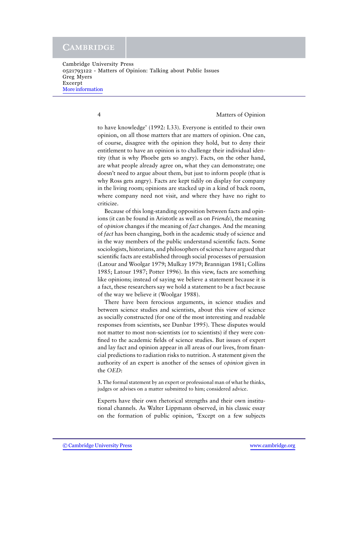Cambridge University Press 0521793122 - Matters of Opinion: Talking about Public Issues Greg Myers Excerpt [More information](http://www.cambridge.org/0521793122)

4 Matters of Opinion

to have knowledge' (1992: I.33). Everyone is entitled to their own opinion, on all those matters that are matters of opinion. One can, of course, disagree with the opinion they hold, but to deny their entitlement to have an opinion is to challenge their individual identity (that is why Phoebe gets so angry). Facts, on the other hand, are what people already agree on, what they can demonstrate; one doesn't need to argue about them, but just to inform people (that is why Ross gets angry). Facts are kept tidily on display for company in the living room; opinions are stacked up in a kind of back room, where company need not visit, and where they have no right to criticize.

Because of this long-standing opposition between facts and opinions (it can be found in Aristotle as well as on *Friends*), the meaning of *opinion* changes if the meaning of *fact* changes. And the meaning of *fact* has been changing, both in the academic study of science and in the way members of the public understand scientific facts. Some sociologists, historians, and philosophers of science have argued that scientific facts are established through social processes of persuasion (Latour and Woolgar 1979; Mulkay 1979; Brannigan 1981; Collins 1985; Latour 1987; Potter 1996). In this view, facts are something like opinions; instead of saying we believe a statement because it is a fact, these researchers say we hold a statement to be a fact because of the way we believe it (Woolgar 1988).

There have been ferocious arguments, in science studies and between science studies and scientists, about this view of science as socially constructed (for one of the most interesting and readable responses from scientists, see Dunbar 1995). These disputes would not matter to most non-scientists (or to scientists) if they were confined to the academic fields of science studies. But issues of expert and lay fact and opinion appear in all areas of our lives, from financial predictions to radiation risks to nutrition. A statement given the authority of an expert is another of the senses of *opinion* given in the *OED*:

**3.** The formal statement by an expert or professional man of what he thinks, judges or advises on a matter submitted to him; considered advice.

Experts have their own rhetorical strengths and their own institutional channels. As Walter Lippmann observed, in his classic essay on the formation of public opinion, 'Except on a few subjects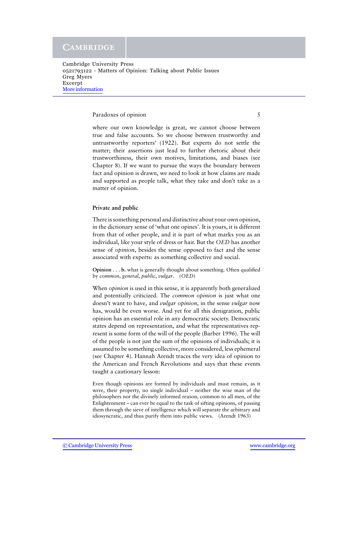### Paradoxes of opinion 5

where our own knowledge is great, we cannot choose between true and false accounts. So we choose between trustworthy and untrustworthy reporters' (1922). But experts do not settle the matter; their assertions just lead to further rhetoric about their trustworthiness, their own motives, limitations, and biases (see Chapter 8). If we want to pursue the ways the boundary between fact and opinion is drawn, we need to look at how claims are made and supported as people talk, what they take and don't take as a matter of opinion.

### **Private and public**

There is something personal and distinctive about your own opinion, in the dictionary sense of 'what one opines'. It is yours, it is different from that of other people, and it is part of what marks you as an individual, like your style of dress or hair. But the *OED* has another sense of *opinion*, besides the sense opposed to fact and the sense associated with experts: as something collective and social.

**Opinion** ... **b.** what is generally thought about something. Often qualified by *common*, *general*, *public*, *vulgar*. (*OED*)

When *opinion* is used in this sense, it is apparently both generalized and potentially criticized. The *common opinion* is just what one doesn't want to have, and *vulgar opinion*, in the sense *vulgar* now has, would be even worse. And yet for all this denigration, public opinion has an essential role in any democratic society. Democratic states depend on representation, and what the representatives represent is some form of the will of the people (Barber 1996). The will of the people is not just the sum of the opinions of individuals; it is assumed to be something collective, more considered, less ephemeral (see Chapter 4). Hannah Arendt traces the very idea of opinion to the American and French Revolutions and says that these events taught a cautionary lesson:

Even though opinions are formed by individuals and must remain, as it were, their property, no single individual – neither the wise man of the philosophers nor the divinely informed reason, common to all men, of the Enlightenment – can ever be equal to the task of sifting opinions, of passing them through the sieve of intelligence which will separate the arbitrary and idiosyncratic, and thus purify them into public views. (Arendt 1963)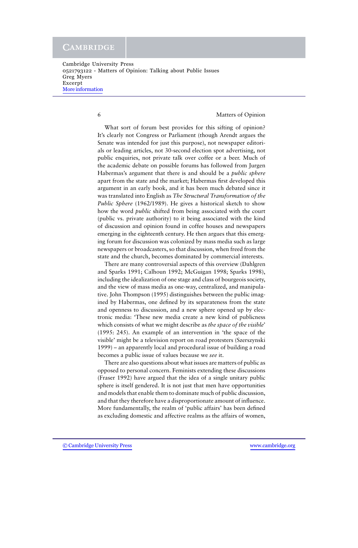Cambridge University Press 0521793122 - Matters of Opinion: Talking about Public Issues Greg Myers Excerpt [More information](http://www.cambridge.org/0521793122)

6 Matters of Opinion

What sort of forum best provides for this sifting of opinion? It's clearly not Congress or Parliament (though Arendt argues the Senate was intended for just this purpose), not newspaper editorials or leading articles, not 30-second election spot advertising, not public enquiries, not private talk over coffee or a beer. Much of the academic debate on possible forums has followed from Jurgen Habermas's argument that there is and should be a *public sphere* apart from the state and the market; Habermas first developed this argument in an early book, and it has been much debated since it was translated into English as *The Structural Transformation of the Public Sphere* (1962/1989). He gives a historical sketch to show how the word *public* shifted from being associated with the court (public vs. private authority) to it being associated with the kind of discussion and opinion found in coffee houses and newspapers emerging in the eighteenth century. He then argues that this emerging forum for discussion was colonized by mass media such as large newspapers or broadcasters, so that discussion, when freed from the state and the church, becomes dominated by commercial interests.

There are many controversial aspects of this overview (Dahlgren and Sparks 1991; Calhoun 1992; McGuigan 1998; Sparks 1998), including the idealization of one stage and class of bourgeois society, and the view of mass media as one-way, centralized, and manipulative. John Thompson (1995) distinguishes between the public imagined by Habermas, one defined by its separateness from the state and openness to discussion, and a new sphere opened up by electronic media: 'These new media create a new kind of publicness which consists of what we might describe as *the space of the visible*' (1995: 245). An example of an intervention in 'the space of the visible' might be a television report on road protesters (Szerszynski 1999) – an apparently local and procedural issue of building a road becomes a public issue of values because we *see* it.

There are also questions about what issues are matters of public as opposed to personal concern. Feminists extending these discussions (Fraser 1992) have argued that the idea of a single unitary public sphere is itself gendered. It is not just that men have opportunities and models that enable them to dominate much of public discussion, and that they therefore have a disproportionate amount of influence. More fundamentally, the realm of 'public affairs' has been defined as excluding domestic and affective realms as the affairs of women,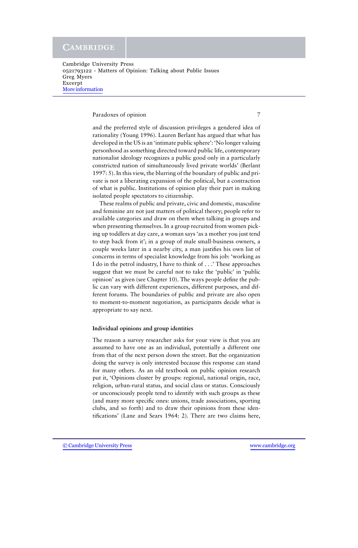Cambridge University Press 0521793122 - Matters of Opinion: Talking about Public Issues Greg Myers Excerpt [More information](http://www.cambridge.org/0521793122)

### Paradoxes of opinion 7

and the preferred style of discussion privileges a gendered idea of rationality (Young 1996). Lauren Berlant has argued that what has developed in the US is an 'intimate public sphere': 'No longer valuing personhood as something directed toward public life, contemporary nationalist ideology recognizes a public good only in a particularly constricted nation of simultaneously lived private worlds' (Berlant 1997: 5). In this view, the blurring of the boundary of public and private is not a liberating expansion of the political, but a contraction of what is public. Institutions of opinion play their part in making isolated people spectators to citizenship.

These realms of public and private, civic and domestic, masculine and feminine are not just matters of political theory; people refer to available categories and draw on them when talking in groups and when presenting themselves. In a group recruited from women picking up toddlers at day care, a woman says 'as a mother you just tend to step back from it'; in a group of male small-business owners, a couple weeks later in a nearby city, a man justifies his own list of concerns in terms of specialist knowledge from his job: 'working as I do in the petrol industry, I have to think of . . .' These approaches suggest that we must be careful not to take the 'public' in 'public opinion' as given (see Chapter 10). The ways people define the public can vary with different experiences, different purposes, and different forums. The boundaries of public and private are also open to moment-to-moment negotiation, as participants decide what is appropriate to say next.

#### **Individual opinions and group identities**

The reason a survey researcher asks for your view is that you are assumed to have one as an individual, potentially a different one from that of the next person down the street. But the organization doing the survey is only interested because this response can stand for many others. As an old textbook on public opinion research put it, 'Opinions cluster by groups: regional, national origin, race, religion, urban-rural status, and social class or status. Consciously or unconsciously people tend to identify with such groups as these (and many more specific ones: unions, trade associations, sporting clubs, and so forth) and to draw their opinions from these identifications' (Lane and Sears 1964: 2). There are two claims here,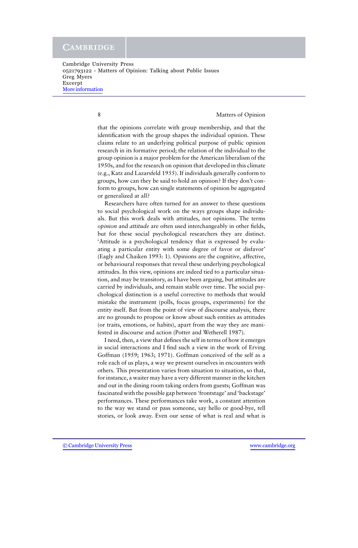Cambridge University Press 0521793122 - Matters of Opinion: Talking about Public Issues Greg Myers Excerpt [More information](http://www.cambridge.org/0521793122)

8 Matters of Opinion

that the opinions correlate with group membership, and that the identification with the group shapes the individual opinion. These claims relate to an underlying political purpose of public opinion research in its formative period; the relation of the individual to the group opinion is a major problem for the American liberalism of the 1950s, and for the research on opinion that developed in this climate (e.g., Katz and Lazarsfeld 1955). If individuals generally conform to groups, how can they be said to hold an opinion? If they don't conform to groups, how can single statements of opinion be aggregated or generalized at all?

Researchers have often turned for an answer to these questions to social psychological work on the ways groups shape individuals. But this work deals with attitudes, not opinions. The terms *opinion* and *attitude* are often used interchangeably in other fields, but for these social psychological researchers they are distinct. 'Attitude is a psychological tendency that is expressed by evaluating a particular entity with some degree of favor or disfavor' (Eagly and Chaiken 1993: 1). Opinions are the cognitive, affective, or behavioural responses that reveal these underlying psychological attitudes. In this view, opinions are indeed tied to a particular situation, and may be transitory, as I have been arguing, but attitudes are carried by individuals, and remain stable over time. The social psychological distinction is a useful corrective to methods that would mistake the instrument (polls, focus groups, experiments) for the entity itself. But from the point of view of discourse analysis, there are no grounds to propose or know about such entities as attitudes (or traits, emotions, or habits), apart from the way they are manifested in discourse and action (Potter and Wetherell 1987).

I need, then, a view that defines the self in terms of how it emerges in social interactions and I find such a view in the work of Erving Goffman (1959; 1963; 1971). Goffman conceived of the self as a role each of us plays, a way we present ourselves in encounters with others. This presentation varies from situation to situation, so that, for instance, a waiter may have a very different manner in the kitchen and out in the dining room taking orders from guests; Goffman was fascinated with the possible gap between 'frontstage' and 'backstage' performances. These performances take work, a constant attention to the way we stand or pass someone, say hello or good-bye, tell stories, or look away. Even our sense of what is real and what is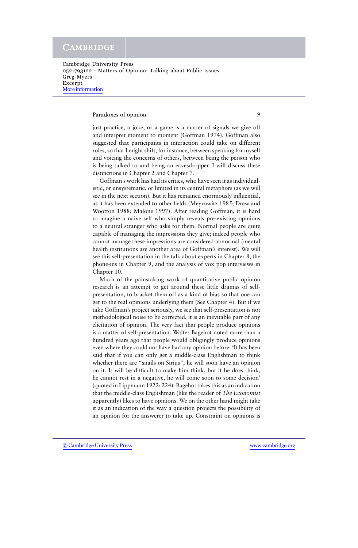#### Paradoxes of opinion 9

just practice, a joke, or a game is a matter of signals we give off and interpret moment to moment (Goffman 1974). Goffman also suggested that participants in interaction could take on different roles, so that I might shift, for instance, between speaking for myself and voicing the concerns of others, between being the person who is being talked to and being an eavesdropper. I will discuss these distinctions in Chapter 2 and Chapter 7.

Goffman's work has had its critics, who have seen it as individualistic, or unsystematic, or limited in its central metaphors (as we will see in the next section). But it has remained enormously influential, as it has been extended to other fields (Meyrowitz 1985; Drew and Wootton 1988; Malone 1997). After reading Goffman, it is hard to imagine a naive self who simply reveals pre-existing opinions to a neutral stranger who asks for them. Normal people are quite capable of managing the impressions they give; indeed people who cannot manage these impressions are considered abnormal (mental health institutions are another area of Goffman's interest). We will see this self-presentation in the talk about experts in Chapter 8, the phone-ins in Chapter 9, and the analysis of vox pop interviews in Chapter 10.

Much of the painstaking work of quantitative public opinion research is an attempt to get around these little dramas of selfpresentation, to bracket them off as a kind of bias so that one can get to the real opinions underlying them (See Chapter 4). But if we take Goffman's project seriously, we see that self-presentation is not methodological noise to be corrected, it is an inevitable part of any elicitation of opinion. The very fact that people produce opinions is a matter of self-presentation. Walter Bagehot noted more than a hundred years ago that people would obligingly produce opinions even where they could not have had any opinion before: 'It has been said that if you can only get a middle-class Englishman to think whether there are "snails on Sirius", he will soon have an opinion on it. It will be difficult to make him think, but if he does think, he cannot rest in a negative, he will come soon to some decision' (quoted in Lippmann 1922: 224). Bagehot takes this as an indication that the middle-class Englishman (like the reader of *The Economist* apparently) likes to have opinions. We on the other hand might take it as an indication of the way a question projects the possibility of an opinion for the answerer to take up. Constraint on opinions is